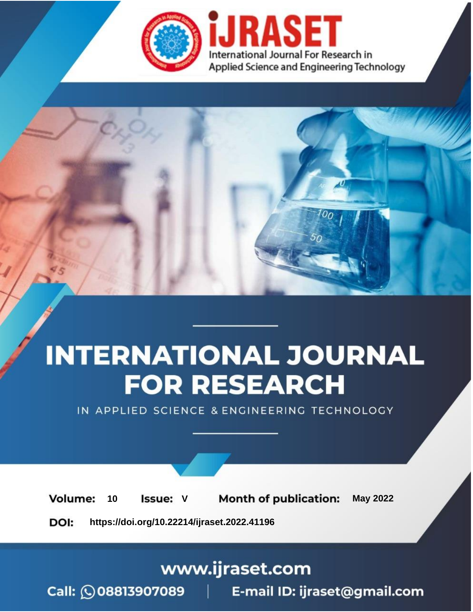

# **INTERNATIONAL JOURNAL FOR RESEARCH**

IN APPLIED SCIENCE & ENGINEERING TECHNOLOGY

Volume: **Month of publication: May 2022** 10 **Issue: V** 

DOI: https://doi.org/10.22214/ijraset.2022.41196

www.ijraset.com

 $Call: \bigcirc$ 08813907089 E-mail ID: ijraset@gmail.com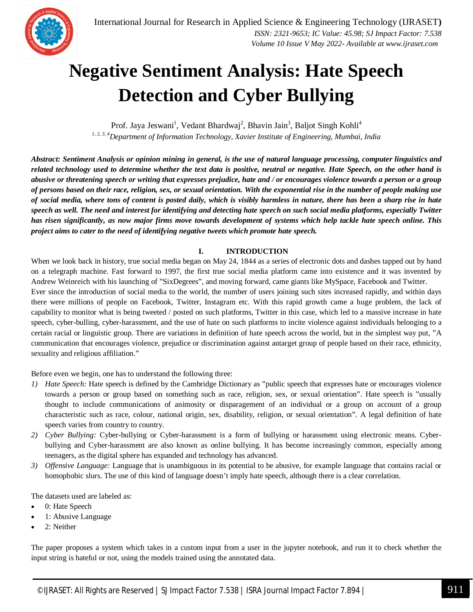

### **Negative Sentiment Analysis: Hate Speech Detection and Cyber Bullying**

Prof. Jaya Jeswani<sup>1</sup>, Vedant Bhardwaj<sup>2</sup>, Bhavin Jain<sup>3</sup>, Baljot Singh Kohli<sup>4</sup> *1, 2, 3, 4Department of Information Technology, Xavier Institute of Engineering, Mumbai, India*

*Abstract: Sentiment Analysis or opinion mining in general, is the use of natural language processing, computer linguistics and related technology used to determine whether the text data is positive, neutral or negative. Hate Speech, on the other hand is abusive or threatening speech or writing that expresses prejudice, hate and / or encourages violence towards a person or a group of persons based on their race, religion, sex, or sexual orientation. With the exponential rise in the number of people making use of social media, where tons of content is posted daily, which is visibly harmless in nature, there has been a sharp rise in hate speech as well. The need and interest for identifying and detecting hate speech on such social media platforms, especially Twitter has risen significantly, as now major firms move towards development of systems which help tackle hate speech online. This project aims to cater to the need of identifying negative tweets which promote hate speech.*

#### **I. INTRODUCTION**

When we look back in history, true social media began on May 24, 1844 as a series of electronic dots and dashes tapped out by hand on a telegraph machine. Fast forward to 1997, the first true social media platform came into existence and it was invented by Andrew Weinreich with his launching of "SixDegrees", and moving forward, came giants like MySpace, Facebook and Twitter. Ever since the introduction of social media to the world, the number of users joining such sites increased rapidly, and within days there were millions of people on Facebook, Twitter, Instagram etc. With this rapid growth came a huge problem, the lack of capability to monitor what is being tweeted / posted on such platforms, Twitter in this case, which led to a massive increase in hate speech, cyber-bulling, cyber-harassment, and the use of hate on such platforms to incite violence against individuals belonging to a certain racial or linguistic group. There are variations in definition of hate speech across the world, but in the simplest way put, "A communication that encourages violence, prejudice or discrimination against antarget group of people based on their race, ethnicity, sexuality and religious affiliation."

Before even we begin, one has to understand the following three:

- *1) Hate Speech:* Hate speech is defined by the Cambridge Dictionary as "public speech that expresses hate or encourages violence towards a person or group based on something such as race, religion, sex, or sexual orientation". Hate speech is "usually thought to include communications of animosity or disparagement of an individual or a group on account of a group characteristic such as race, colour, national origin, sex, disability, religion, or sexual orientation". A legal definition of hate speech varies from country to country.
- *2) Cyber Bullying:* Cyber-bullying or Cyber-harassment is a form of bullying or harassment using electronic means. Cyberbullying and Cyber-harassment are also known as online bullying. It has become increasingly common, especially among teenagers, as the digital sphere has expanded and technology has advanced.
- *3) Offensive Language:* Language that is unambiguous in its potential to be abusive, for example language that contains racial or homophobic slurs. The use of this kind of language doesn't imply hate speech, although there is a clear correlation.

The datasets used are labeled as:

- 0: Hate Speech
- 1: Abusive Language
- 2: Neither

The paper proposes a system which takes in a custom input from a user in the jupyter notebook, and run it to check whether the input string is hateful or not, using the models trained using the annotated data.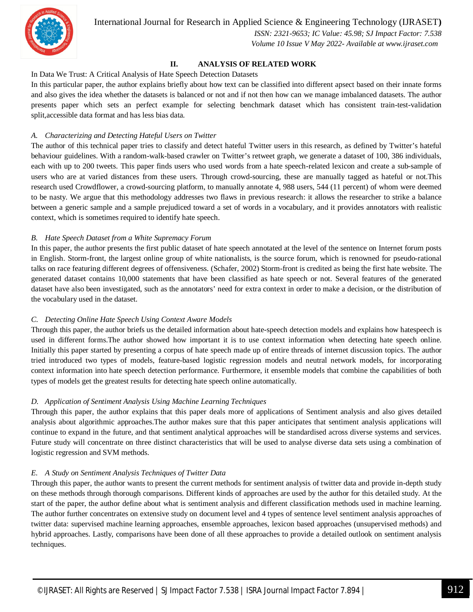

International Journal for Research in Applied Science & Engineering Technology (IJRASET**)**

 *ISSN: 2321-9653; IC Value: 45.98; SJ Impact Factor: 7.538 Volume 10 Issue V May 2022- Available at www.ijraset.com*

#### **II. ANALYSIS OF RELATED WORK**

#### In Data We Trust: A Critical Analysis of Hate Speech Detection Datasets

In this particular paper, the author explains briefly about how text can be classified into different apsect based on their innate forms and also gives the idea whether the datasets is balanced or not and if not then how can we manage imbalanced datasets. The author presents paper which sets an perfect example for selecting benchmark dataset which has consistent train-test-validation split,accessible data format and has less bias data.

#### *A. Characterizing and Detecting Hateful Users on Twitter*

The author of this technical paper tries to classify and detect hateful Twitter users in this research, as defined by Twitter's hateful behaviour guidelines. With a random-walk-based crawler on Twitter's retweet graph, we generate a dataset of 100, 386 individuals, each with up to 200 tweets. This paper finds users who used words from a hate speech-related lexicon and create a sub-sample of users who are at varied distances from these users. Through crowd-sourcing, these are manually tagged as hateful or not.This research used Crowdflower, a crowd-sourcing platform, to manually annotate 4, 988 users, 544 (11 percent) of whom were deemed to be nasty. We argue that this methodology addresses two flaws in previous research: it allows the researcher to strike a balance between a generic sample and a sample prejudiced toward a set of words in a vocabulary, and it provides annotators with realistic context, which is sometimes required to identify hate speech.

#### *B. Hate Speech Dataset from a White Supremacy Forum*

In this paper, the author presents the first public dataset of hate speech annotated at the level of the sentence on Internet forum posts in English. Storm-front, the largest online group of white nationalists, is the source forum, which is renowned for pseudo-rational talks on race featuring different degrees of offensiveness. (Schafer, 2002) Storm-front is credited as being the first hate website. The generated dataset contains 10,000 statements that have been classified as hate speech or not. Several features of the generated dataset have also been investigated, such as the annotators' need for extra context in order to make a decision, or the distribution of the vocabulary used in the dataset.

#### *C. Detecting Online Hate Speech Using Context Aware Models*

Through this paper, the author briefs us the detailed information about hate-speech detection models and explains how hatespeech is used in different forms.The author showed how important it is to use context information when detecting hate speech online. Initially this paper started by presenting a corpus of hate speech made up of entire threads of internet discussion topics. The author tried introduced two types of models, feature-based logistic regression models and neutral network models, for incorporating context information into hate speech detection performance. Furthermore, it ensemble models that combine the capabilities of both types of models get the greatest results for detecting hate speech online automatically.

#### *D. Application of Sentiment Analysis Using Machine Learning Techniques*

Through this paper, the author explains that this paper deals more of applications of Sentiment analysis and also gives detailed analysis about algorithmic approaches.The author makes sure that this paper anticipates that sentiment analysis applications will continue to expand in the future, and that sentiment analytical approaches will be standardised across diverse systems and services. Future study will concentrate on three distinct characteristics that will be used to analyse diverse data sets using a combination of logistic regression and SVM methods.

#### *E. A Study on Sentiment Analysis Techniques of Twitter Data*

Through this paper, the author wants to present the current methods for sentiment analysis of twitter data and provide in-depth study on these methods through thorough comparisons. Different kinds of approaches are used by the author for this detailed study. At the start of the paper, the author define about what is sentiment analysis and different classification methods used in machine learning. The author further concentrates on extensive study on document level and 4 types of sentence level sentiment analysis approaches of twitter data: supervised machine learning approaches, ensemble approaches, lexicon based approaches (unsupervised methods) and hybrid approaches. Lastly, comparisons have been done of all these approaches to provide a detailed outlook on sentiment analysis techniques.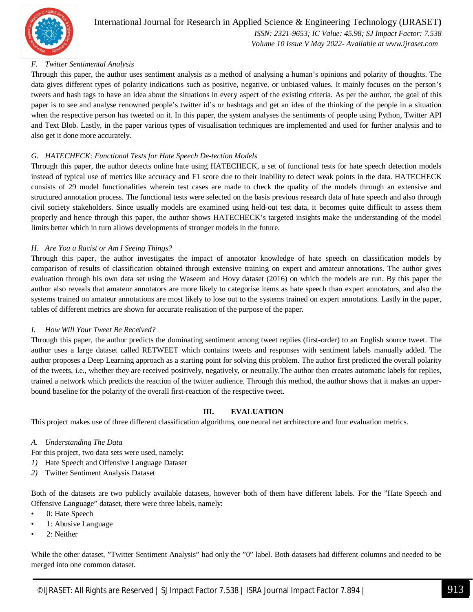

#### International Journal for Research in Applied Science & Engineering Technology (IJRASET**)**  *ISSN: 2321-9653; IC Value: 45.98; SJ Impact Factor: 7.538*

 *Volume 10 Issue V May 2022- Available at www.ijraset.com*

#### *F. Twitter Sentimental Analysis*

Through this paper, the author uses sentiment analysis as a method of analysing a human's opinions and polarity of thoughts. The data gives different types of polarity indications such as positive, negative, or unbiased values. It mainly focuses on the person's tweets and hash tags to have an idea about the situations in every aspect of the existing criteria. As per the author, the goal of this paper is to see and analyse renowned people's twitter id's or hashtags and get an idea of the thinking of the people in a situation when the respective person has tweeted on it. In this paper, the system analyses the sentiments of people using Python, Twitter API and Text Blob. Lastly, in the paper various types of visualisation techniques are implemented and used for further analysis and to also get it done more accurately.

#### *G. HATECHECK: Functional Tests for Hate Speech De-tection Models*

Through this paper, the author detects online hate using HATECHECK, a set of functional tests for hate speech detection models instead of typical use of metrics like accuracy and F1 score due to their inability to detect weak points in the data. HATECHECK consists of 29 model functionalities wherein test cases are made to check the quality of the models through an extensive and structured annotation process. The functional tests were selected on the basis previous research data of hate speech and also through civil society stakeholders. Since usually models are examined using held-out test data, it becomes quite difficult to assess them properly and hence through this paper, the author shows HATECHECK's targeted insights make the understanding of the model limits better which in turn allows developments of stronger models in the future.

#### *H. Are You a Racist or Am I Seeing Things?*

Through this paper, the author investigates the impact of annotator knowledge of hate speech on classification models by comparison of results of classification obtained through extensive training on expert and amateur annotations. The author gives evaluation through his own data set using the Waseem and Hovy dataset (2016) on which the models are run. By this paper the author also reveals that amateur annotators are more likely to categorise items as hate speech than expert annotators, and also the systems trained on amateur annotations are most likely to lose out to the systems trained on expert annotations. Lastly in the paper, tables of different metrics are shown for accurate realisation of the purpose of the paper.

#### *I. How Will Your Tweet Be Received?*

Through this paper, the author predicts the dominating sentiment among tweet replies (first-order) to an English source tweet. The author uses a large dataset called RETWEET which contains tweets and responses with sentiment labels manually added. The author proposes a Deep Learning approach as a starting point for solving this problem. The author first predicted the overall polarity of the tweets, i.e., whether they are received positively, negatively, or neutrally.The author then creates automatic labels for replies, trained a network which predicts the reaction of the twitter audience. Through this method, the author shows that it makes an upperbound baseline for the polarity of the overall first-reaction of the respective tweet.

#### **III. EVALUATION**

This project makes use of three different classification algorithms, one neural net architecture and four evaluation metrics.

#### *A. Understanding The Data*

For this project, two data sets were used, namely:

- *1)* Hate Speech and Offensive Language Dataset
- *2)* Twitter Sentiment Analysis Dataset

Both of the datasets are two publicly available datasets, however both of them have different labels. For the "Hate Speech and Offensive Language" dataset, there were three labels, namely:

- 0: Hate Speech
- 1: Abusive Language
- 2: Neither

While the other dataset, "Twitter Sentiment Analysis" had only the "0" label. Both datasets had different columns and needed to be merged into one common dataset.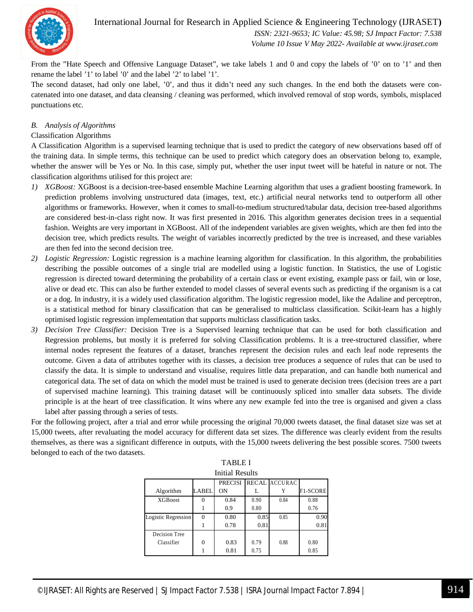

International Journal for Research in Applied Science & Engineering Technology (IJRASET**)**

 *ISSN: 2321-9653; IC Value: 45.98; SJ Impact Factor: 7.538 Volume 10 Issue V May 2022- Available at www.ijraset.com*

From the "Hate Speech and Offensive Language Dataset", we take labels 1 and 0 and copy the labels of '0' on to '1' and then rename the label '1' to label '0' and the label '2' to label '1'.

The second dataset, had only one label, '0', and thus it didn't need any such changes. In the end both the datasets were concatenated into one dataset, and data cleansing / cleaning was performed, which involved removal of stop words, symbols, misplaced punctuations etc.

#### *B. Analysis of Algorithms*

#### Classification Algorithms

A Classification Algorithm is a supervised learning technique that is used to predict the category of new observations based off of the training data. In simple terms, this technique can be used to predict which category does an observation belong to, example, whether the answer will be Yes or No. In this case, simply put, whether the user input tweet will be hateful in nature or not. The classification algorithms utilised for this project are:

- *1) XGBoost:* XGBoost is a decision-tree-based ensemble Machine Learning algorithm that uses a gradient boosting framework. In prediction problems involving unstructured data (images, text, etc.) artificial neural networks tend to outperform all other algorithms or frameworks. However, when it comes to small-to-medium structured/tabular data, decision tree-based algorithms are considered best-in-class right now. It was first presented in 2016. This algorithm generates decision trees in a sequential fashion. Weights are very important in XGBoost. All of the independent variables are given weights, which are then fed into the decision tree, which predicts results. The weight of variables incorrectly predicted by the tree is increased, and these variables are then fed into the second decision tree.
- *2) Logistic Regression:* Logistic regression is a machine learning algorithm for classification. In this algorithm, the probabilities describing the possible outcomes of a single trial are modelled using a logistic function. In Statistics, the use of Logistic regression is directed toward determining the probability of a certain class or event existing, example pass or fail, win or lose, alive or dead etc. This can also be further extended to model classes of several events such as predicting if the organism is a cat or a dog. In industry, it is a widely used classification algorithm. The logistic regression model, like the Adaline and perceptron, is a statistical method for binary classification that can be generalised to multiclass classification. Scikit-learn has a highly optimised logistic regression implementation that supports multiclass classification tasks.
- *3) Decision Tree Classifier:* Decision Tree is a Supervised learning technique that can be used for both classification and Regression problems, but mostly it is preferred for solving Classification problems. It is a tree-structured classifier, where internal nodes represent the features of a dataset, branches represent the decision rules and each leaf node represents the outcome. Given a data of attributes together with its classes, a decision tree produces a sequence of rules that can be used to classify the data. It is simple to understand and visualise, requires little data preparation, and can handle both numerical and categorical data. The set of data on which the model must be trained is used to generate decision trees (decision trees are a part of supervised machine learning). This training dataset will be continuously spliced into smaller data subsets. The divide principle is at the heart of tree classification. It wins where any new example fed into the tree is organised and given a class label after passing through a series of tests.

For the following project, after a trial and error while processing the original 70,000 tweets dataset, the final dataset size was set at 15,000 tweets, after revaluating the model accuracy for different data set sizes. The difference was clearly evident from the results themselves, as there was a significant difference in outputs, with the 15,000 tweets delivering the best possible scores. 7500 tweets belonged to each of the two datasets.

TABLE I

| Initial Results     |              |                |      |                      |          |  |  |  |  |
|---------------------|--------------|----------------|------|----------------------|----------|--|--|--|--|
|                     |              | <b>PRECISI</b> |      | <b>RECAL ACCURAC</b> |          |  |  |  |  |
| Algorithm           | LABEL        | ON             | L    | Y                    | F1-SCORE |  |  |  |  |
| <b>XGBoost</b>      | $\mathbf{0}$ | 0.84           | 0.90 | 0.84                 | 0.88     |  |  |  |  |
|                     |              | 0.9            | 0.80 |                      | 0.76     |  |  |  |  |
| Logistic Regression | $\Omega$     | 0.80           | 0.85 | 0.85                 | 0.90     |  |  |  |  |
|                     |              | 0.78           | 0.81 |                      | 0.81     |  |  |  |  |
| Decision Tree       |              |                |      |                      |          |  |  |  |  |
| Classifier          | $\theta$     | 0.83           | 0.79 | 0.88                 | 0.80     |  |  |  |  |
|                     |              | 0.81           | 0.75 |                      | 0.85     |  |  |  |  |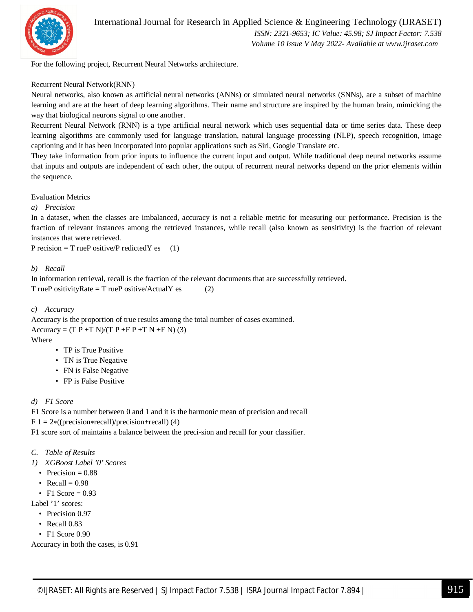

For the following project, Recurrent Neural Networks architecture.

#### Recurrent Neural Network(RNN)

Neural networks, also known as artificial neural networks (ANNs) or simulated neural networks (SNNs), are a subset of machine learning and are at the heart of deep learning algorithms. Their name and structure are inspired by the human brain, mimicking the way that biological neurons signal to one another.

Recurrent Neural Network (RNN) is a type artificial neural network which uses sequential data or time series data. These deep learning algorithms are commonly used for language translation, natural language processing (NLP), speech recognition, image captioning and it has been incorporated into popular applications such as Siri, Google Translate etc.

They take information from prior inputs to influence the current input and output. While traditional deep neural networks assume that inputs and outputs are independent of each other, the output of recurrent neural networks depend on the prior elements within the sequence.

Evaluation Metrics

*a) Precision*

In a dataset, when the classes are imbalanced, accuracy is not a reliable metric for measuring our performance. Precision is the fraction of relevant instances among the retrieved instances, while recall (also known as sensitivity) is the fraction of relevant instances that were retrieved.

P recision  $= T$  rueP ositive/P redicted Y es (1)

#### *b) Recall*

In information retrieval, recall is the fraction of the relevant documents that are successfully retrieved.  $T$  rueP ositivityRate =  $T$  rueP ositive/ActualY es (2)

#### *c) Accuracy*

Accuracy is the proportion of true results among the total number of cases examined. Accuracy =  $(T P + T N)/(T P + F P + T N + F N)$  (3) Where

- - TP is True Positive
	- TN is True Negative
	- FN is False Negative
	- FP is False Positive

#### *d) F1 Score*

F1 Score is a number between 0 and 1 and it is the harmonic mean of precision and recall

 $F 1 = 2*(\text{(precision*recall)/precision+recall})$  (4)

F1 score sort of maintains a balance between the preci-sion and recall for your classifier.

- *C. Table of Results*
- *1) XGBoost Label '0' Scores*
	- Precision  $= 0.88$
	- Recall  $= 0.98$
	- F1 Score  $= 0.93$
- Label '1' scores:
	- Precision 0.97
	- Recall 0.83
	- F1 Score 0.90

Accuracy in both the cases, is 0.91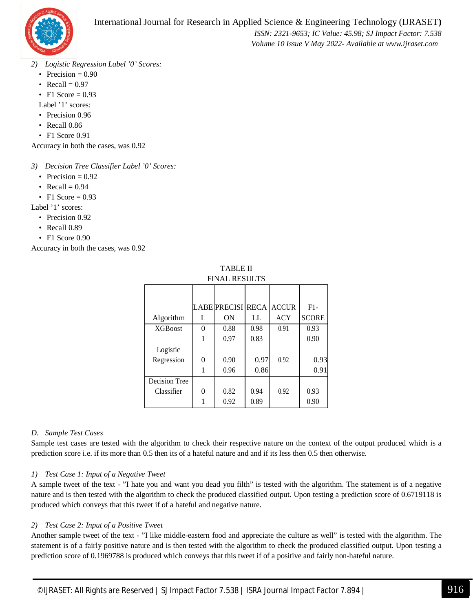

 *ISSN: 2321-9653; IC Value: 45.98; SJ Impact Factor: 7.538 Volume 10 Issue V May 2022- Available at www.ijraset.com*

- *2) Logistic Regression Label '0' Scores:*
	- Precision  $= 0.90$
	- Recall  $= 0.97$
	- F1 Score  $= 0.93$

Label '1' scores:

- Precision 0.96
- Recall 0.86
- F1 Score 0.91

Accuracy in both the cases, was 0.92

*3) Decision Tree Classifier Label '0' Scores:*

- Precision  $= 0.92$
- Recall  $= 0.94$
- F1 Score  $= 0.93$

Label '1' scores:

- Precision 0.92
- Recall 0.89
- F1 Score 0.90

Accuracy in both the cases, was 0.92

| TABLE II             |
|----------------------|
| <b>FINAL RESULTS</b> |

|                 |   | LABE PRECISI RECA |      | <b>ACCUR</b> | $F1-$        |
|-----------------|---|-------------------|------|--------------|--------------|
| Algorithm       | L | ON                | LL   | <b>ACY</b>   | <b>SCORE</b> |
| <b>XGB</b> oost | 0 | 0.88              | 0.98 | 0.91         | 0.93         |
|                 |   | 0.97              | 0.83 |              | 0.90         |
| Logistic        |   |                   |      |              |              |
| Regression      | 0 | 0.90              | 0.97 | 0.92         | 0.93         |
|                 |   | 0.96              | 0.86 |              | 0.91         |
| Decision Tree   |   |                   |      |              |              |
| Classifier      | 0 | 0.82              | 0.94 | 0.92         | 0.93         |
|                 |   | 0.92              | 0.89 |              | 0.90         |

#### *D. Sample Test Cases*

Sample test cases are tested with the algorithm to check their respective nature on the context of the output produced which is a prediction score i.e. if its more than 0.5 then its of a hateful nature and and if its less then 0.5 then otherwise.

#### *1) Test Case 1: Input of a Negative Tweet*

A sample tweet of the text - "I hate you and want you dead you filth" is tested with the algorithm. The statement is of a negative nature and is then tested with the algorithm to check the produced classified output. Upon testing a prediction score of 0.6719118 is produced which conveys that this tweet if of a hateful and negative nature.

#### *2) Test Case 2: Input of a Positive Tweet*

Another sample tweet of the text - "I like middle-eastern food and appreciate the culture as well" is tested with the algorithm. The statement is of a fairly positive nature and is then tested with the algorithm to check the produced classified output. Upon testing a prediction score of 0.1969788 is produced which conveys that this tweet if of a positive and fairly non-hateful nature.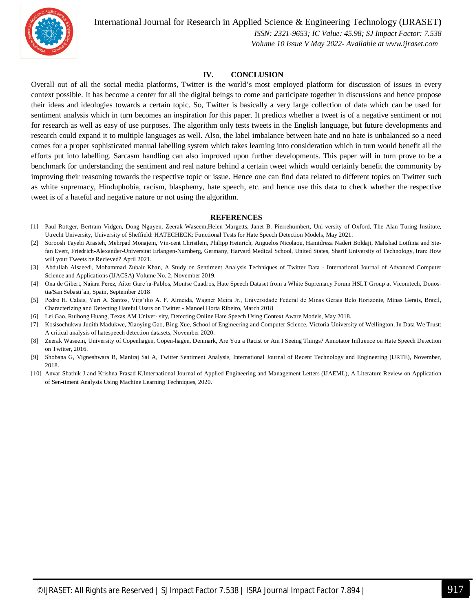

International Journal for Research in Applied Science & Engineering Technology (IJRASET**)**

 *ISSN: 2321-9653; IC Value: 45.98; SJ Impact Factor: 7.538 Volume 10 Issue V May 2022- Available at www.ijraset.com*

#### **IV. CONCLUSION**

Overall out of all the social media platforms, Twitter is the world's most employed platform for discussion of issues in every context possible. It has become a center for all the digital beings to come and participate together in discussions and hence propose their ideas and ideologies towards a certain topic. So, Twitter is basically a very large collection of data which can be used for sentiment analysis which in turn becomes an inspiration for this paper. It predicts whether a tweet is of a negative sentiment or not for research as well as easy of use purposes. The algorithm only tests tweets in the English language, but future developments and research could expand it to multiple languages as well. Also, the label imbalance between hate and no hate is unbalanced so a need comes for a proper sophisticated manual labelling system which takes learning into consideration which in turn would benefit all the efforts put into labelling. Sarcasm handling can also improved upon further developments. This paper will in turn prove to be a benchmark for understanding the sentiment and real nature behind a certain tweet which would certainly benefit the community by improving their reasoning towards the respective topic or issue. Hence one can find data related to different topics on Twitter such as white supremacy, Hinduphobia, racism, blasphemy, hate speech, etc. and hence use this data to check whether the respective tweet is of a hateful and negative nature or not using the algorithm.

#### **REFERENCES**

- [1] Paul Rottger, Bertram Vidgen, Dong Nguyen, Zeerak Waseem,Helen Margetts, Janet B. Pierrehumbert, Uni-versity of Oxford, The Alan Turing Institute, Utrecht University, University of Sheffield: HATECHECK: Functional Tests for Hate Speech Detection Models, May 2021.
- [2] Soroosh Tayebi Arasteh, Mehrpad Monajem, Vin-cent Christlein, Philipp Heinrich, Anguelos Nicolaou, Hamidreza Naderi Boldaji, Mahshad Lotfinia and Stefan Evert, Friedrich-Alexander-Universitat Erlangen-Nurnberg, Germany, Harvard Medical School, United States, Sharif University of Technology, Iran: How will your Tweets be Recieved? April 2021.
- [3] Abdullah Alsaeedi, Mohammad Zubair Khan, A Study on Sentiment Analysis Techniques of Twitter Data International Journal of Advanced Computer Science and Applications (IJACSA) Volume No. 2, November 2019.
- [4] Ona de Gibert, Naiara Perez, Aitor Garc´ıa-Pablos, Montse Cuadros, Hate Speech Dataset from a White Supremacy Forum HSLT Group at Vicomtech, Donostia/San Sebasti´an, Spain, September 2018
- [5] Pedro H. Calais, Yuri A. Santos, Virg´ılio A. F. Almeida, Wagner Meira Jr., Universidade Federal de Minas Gerais Belo Horizonte, Minas Gerais, Brazil, Characterizing and Detecting Hateful Users on Twitter - Manoel Horta Ribeiro, March 2018
- [6] Lei Gao, Ruihong Huang, Texas AM Univer- sity, Detecting Online Hate Speech Using Context Aware Models, May 2018.
- [7] Kosisochukwu Judith Madukwe, Xiaoying Gao, Bing Xue, School of Engineering and Computer Science, Victoria University of Wellington, In Data We Trust: A critical analysis of hatespeech detection datasets, November 2020.
- [8] Zeerak Waseem, University of Copenhagen, Copen-hagen, Denmark, Are You a Racist or Am I Seeing Things? Annotator Influence on Hate Speech Detection on Twitter, 2016.
- [9] Shobana G, Vigneshwara B, Maniraj Sai A, Twitter Sentiment Analysis, International Journal of Recent Technology and Engineering (IJRTE), November, 2018.
- [10] Anvar Shathik J and Krishna Prasad K,International Journal of Applied Engineering and Management Letters (IJAEML), A Literature Review on Application of Sen-timent Analysis Using Machine Learning Techniques, 2020.